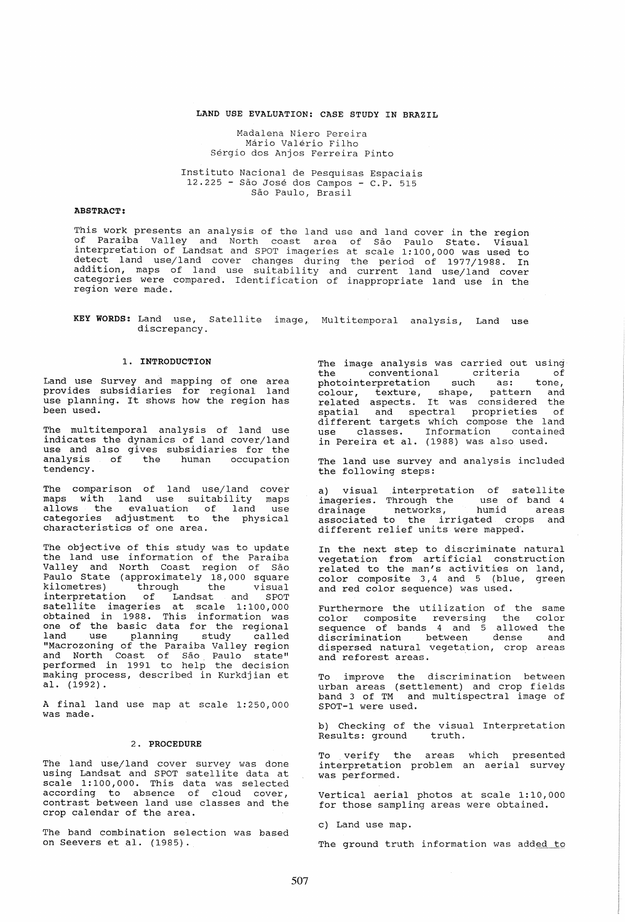## LAND USE EVALUATION: CASE STUDY IN BRAZIL

Madalena Niero Pereira Mario Valerio Filho Sergio dos Anjos Ferreira Pinto

Instituto Nacional de Pesquisas Espaciais 12.225 - Sao Jose dos Campos - C.P. 515 São Paulo, Brasil

### ABSTRACT:

This work presents an analysis of the land use and land cover in the region of Paraiba Valley and North coast area of Sao Paulo State. Visual interpretation of Landsat and SPOT imageries at scale 1:100,000 was used to detect land use/land cover changes during the period of 1977/1988. In addition, maps of land use suitability and current land use/land cover categories were compared. Identification of inappropriate land use in the region were made.

KEY WORDS: Land use, Satellite image, Multitemporal analysis, Land use discrepancy.

#### 1. INTRODUCTION

Land use Survey and mapping of one area provides subsidiaries for regional land use planning. It shows how the region has been used.

The multitemporal analysis of land use<br>indicates the dynamics of land cover/land<br>use and also gives subsidiaries for the analysis of the human occupation tendency.

The comparison of land use/land cover maps with land use suitability maps allows the evaluation of land use categories adjustment to the physical characteristics of one area.

The objective of this study was to update the land use information of the Paraiba Valley and North Coast region of São Paulo State (approximately 18,000 square<br>kilometres) through the visual end the entriestimately report in the visual interpretation of Landsat and SPOT satellite imageries at scale 1:100,000 obtained in 1988. This information was one of the basic data for the regional land use planning study called "Macrozoning of the Paraiba Valley region and North Coast of Sao Paulo state" performed in 1991 to help the decision making process, described in Kurkdjian et al. (1992).

A final land use map at scale 1: 250,000 was made.

# 2. PROCEDURE

The land use/land cover survey was done using Landsat and SPOT satellite data at scale 1:100,000. This data was selected according to absence of cloud cover, contrast between land use classes and the crop calendar of the area.

The band combination selection was based on Seevers et al. (1985).

The image analysis was carried out using<br>the conventional criteria of conventional criteria of<br>terpretation such as: tone, photointerpretation colour, texture, shape, pattern and related aspects. It was considered the spatial and spectral proprieties of different targets which compose the land use classes. Information contained in Pereira et al. (1988) was also used.

The land use survey and analysis included the following steps:

a) visual interpretation of satellite imageries. Through the use of band 4<br>drainage metworks, humid areas associated to the irrigated crops and different relief units were mapped.

In the next step to discriminate natural vegetation from artificial construction related to the man's activities on land, color composite 3,4 and 5 (blue, green and red color sequence) was used.

Furthermore the utilization of the same color composite reversing the color sequence of bands 4 and 5 allowed the discrimination between dense and discrimination between dense and<br>dispersed natural vegetation, crop areas<br>and reforest areas.

To improve the discrimination between urban areas (settlement) and crop fields band 3 of TM and multispectral image of SPOT-l were used.

b) Checking of the visual Interpretation Results: ground truth.

To verify the areas which presented<br>interpretation problem an aerial survey<br>was performed.

vertical aerial photos at scale 1: 10,000 for those sampling areas were obtained.

c) Land use map.

The ground truth information was added to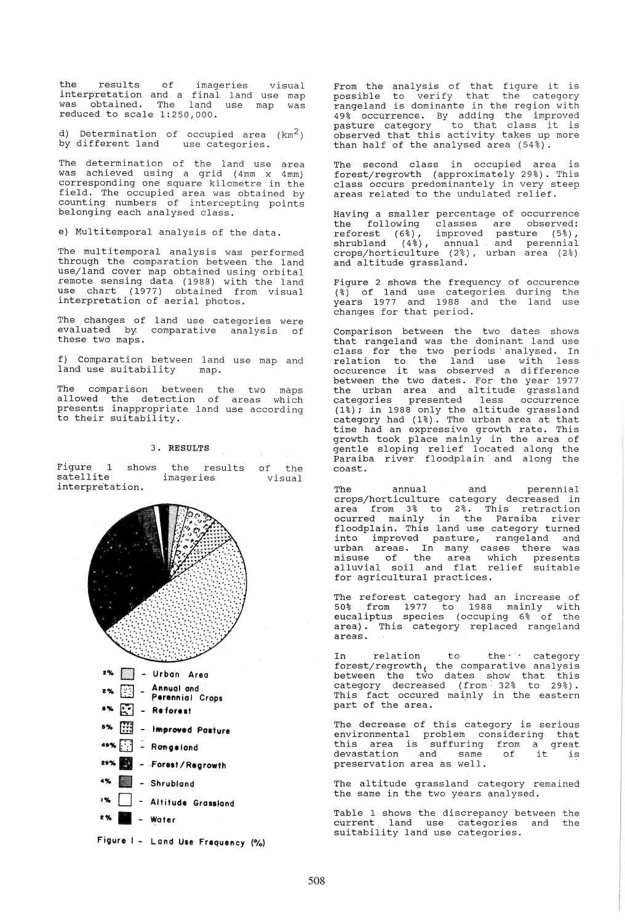the results of imageries interpretation and a final land use map<br>was obtained. The land use map was<br>reduced to scale 1:250,000. visual map was

d) Determination of occupied area (km<sup>2</sup>)<br>by different land use categories. by different land

The determination of the land use area was achieved using a grid  $(4mm \times 4mm)$ corresponding one square kilometre in the field. The occupied area was obtained by counting numbers of intercepting points belonging each analysed class.

e) Multitemporal analysis of the data.

The multitemporal analysis was performed through the comparation between the land use/land cover map obtained using orbital remote sensing data (1988) with the land use chart (1977) obtained from visual interpretation of aerial photos.

The changes of The changes of land use categories were<br>evaluated by. comparative analysis of these two maps.

f) Comparation between land use map and land use suitability

The comparison between the two maps allowed the detection of areas which presents inappropriate land use according to their suitability.

#### 3. RESULTS

Figure 1 shows satellite interpretation. the results of the imageries visual





From the analysis of that figure it is possible to verify that the category possibile to verify that the eattyory 49% occurrence. By adding the improved pasture category to that class it is observed that this activity takes up more than half of the analysed area (54%).

The second class in occupied area is forest/regrowth (approximately 29%). This class occurs predominantely in very steep areas related to the undulated relief. .

Having a smaller percentage of occurrence the following classes are observed: reforest (6%), improved pasture (5%), shrubland (4%) , annual and perennial crops/horticulture (2%), urban area (2%) and altitude grassland.

Figure 2 shows the frequency of occurence (%) of land use categories during the years 1977 and 1988 gnd the land use changes for that period.

comparison between the two dates shows that rangeland was the dominant land use class for the two periods' analysed. In relation to the land use with less<br>occurence it was observed a difference between the two dates. For the year 1977 the urban area and altitude grassland<br>categories presented less occurrence categories presented less occurrence<br>(1%); in 1988 only the altitude grassland category had (1%). The urban area at that time had an expressive growth rate. This growth. took place mainly in the area of growth cook place mainly in the area of Paraiba river floodplain' and along the coast.

The annual and perennial crops/horticul ture category decreased in area from 3% to 2%. This retraction ocurred mainly in the Paraiba river floodplain. This land 'use category turned into improved pasture, rangeland and urban areas. In many cases there was misuse of the area which presents alluvial soil and flat which presents<br>alluvial soil and flat relief suitable for agricultural practices.

The reforest category had an increase of 50% from 1977 to 1988 mainly with eucaliptus species (occuping 6% of the area). This category replaced rangeland

In relation to the<sup>11</sup> category forest/regrowth, the comparative analysis between the two dates show that this category decreased (from: 32% to 29%). This fact occured mainly in the eastern part of the area.

The decrease of this category is serious environmental problem considering that this area is sUffuring from a great devastation and same of it is preservation area as well.

The altitude grassland category remained the same in the two years analysed;

Table 1 shows the discrepancy between the current land use categories and the suitability land use categories.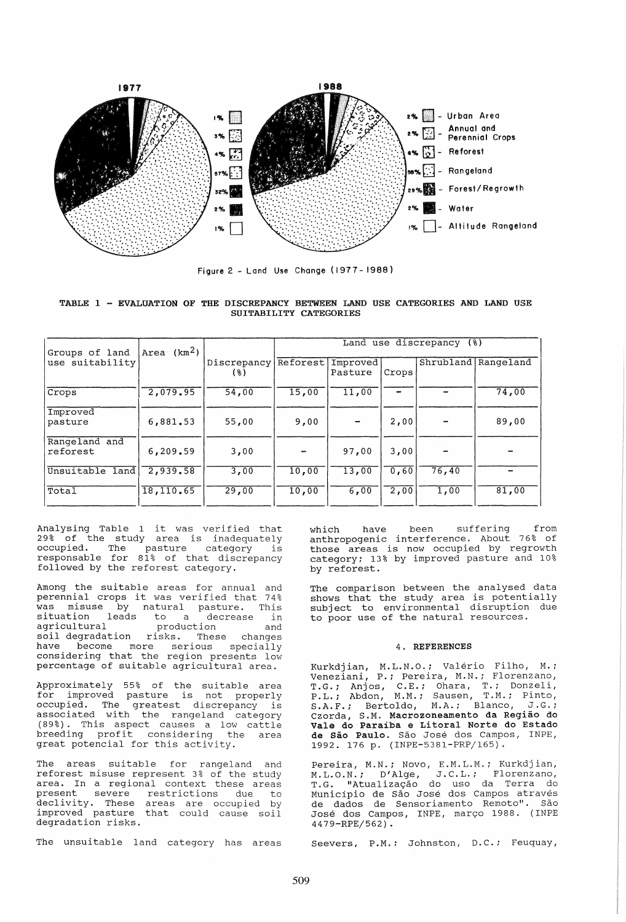

Figure 2 - land Use Change (1977 - 1988)

TABLE 1 - EVALUATION OF THE DISCREPANCY BETWEEN LAND USE CATEGORIES AND LAND USE SUITABILITY CATEGORIES

| Groups of land            | Area $(km2)$ |                      | Land use discrepancy (%) |                     |       |       |                     |
|---------------------------|--------------|----------------------|--------------------------|---------------------|-------|-------|---------------------|
| use suitability           |              | Discrepancy<br>( % ) | Reforest                 | Improved<br>Pasture | Crops |       | Shrubland Rangeland |
| Crops                     | 2,079,95     | 54,00                | 15,00                    | 11,00               |       |       | 74,00               |
| Improved<br>pasture       | 6,881.53     | 55,00                | 9,00                     |                     | 2,00  |       | 89,00               |
| Rangeland and<br>reforest | 6,209.59     | 3,00                 |                          | 97,00               | 3,00  |       |                     |
| Unsuitable land           | 2,939.58     | 3,00                 | 10,00                    | 13,00               | 0.60  | 76,40 |                     |
| Total                     | 18,110.65    | 29,00                | 10,00                    | 6,00                | 2,00  | 1,00  | 81,00               |

Analysing Table 1 it was verified that 29% of the study area is inadequately by or the beady died is inducquately<br>occupied. The pasture category is responsable for 81% of that discrepancy followed by the reforest category.

Among the suitable areas for annual and Among the suitable areas for annual and<br>perennial crops it was verified that 74% was misuse by natural pasture. This and mission of macaral pabearc. This<br>situation leads to a decrease in agricultural production and agricultural production and<br>soil degradation risks. These changes have become more serious specially considering that the region presents low percentage of suitable agricultural area.

Approximately 55% of the suitable area for improved pasture is not properly IST Improved pabeare is not property associated with the rangeland category (89%). This aspect causes a low cattle (000). This aspect causes a fow cattle<br>breeding profit considering the area great potencial for this activity.

The areas suitable for rangeland and reforest misuse represent 3% of the study area. In a regional context these areas arta: in a regional concent enese areas declivity. These areas are occupied by accritic, these areas are occupied by degradation risks.

The unsuitable land category has areas

which have been suffering from anthropogenic interference. About 76% of those areas is now occupied by regrowth category: 13% by improved pasture and 10% by reforest.

The comparison between the analysed data shows that the study area is potentially subject to environmental disruption due to poor use of the natural resources.

# 4. REFERENCES

Kurkdjian, M.L.N.O.; Valério Filho, M.; veneziani, P.; Pereira, M.N.; Florenzano, T.G.; Anjos, C.E.; Ohara, T.; Donzeli, P.L.; Abdon, M.M.; Sausen, T.M.; Pinto, S.A.F.; Bertoldo, M.A.; Blanco, J.G.; Czorda, S.M. Macrozoneamento da Regiao do Vale do Paraiba e Litoral Norte do Estado de São Paulo. São José dos Campos, INPE, 1992. 176 p. (INPE-5381-PRP/165).

Pereira, M.N.; NOVO, E.M.L.M.; Kurkdjian, M.L.O.N.; D'Alge, J.C.L.; Florenzano, T.G. "Atualizayao do uso da Terra do Municipio de Sao Jose dos Campos atraves de dados de Sensoriamento Remoto". São Jose dos Campos, INPE, maryo 1988. (INPE 4479-RPE/562) .

Seevers, P.M.: Johnston, D.C.; Feuquay,